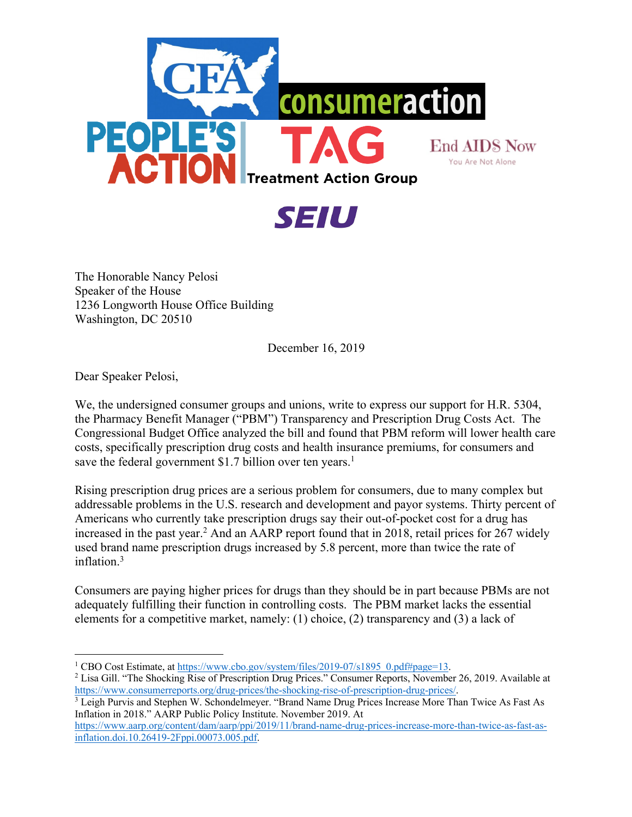



The Honorable Nancy Pelosi Speaker of the House 1236 Longworth House Office Building Washington, DC 20510

December 16, 2019

Dear Speaker Pelosi,

We, the undersigned consumer groups and unions, write to express our support for H.R. 5304, the Pharmacy Benefit Manager ("PBM") Transparency and Prescription Drug Costs Act. The Congressional Budget Office analyzed the bill and found that PBM reform will lower health care costs, specifically prescription drug costs and health insurance premiums, for consumers and save the federal government \$1.7 billion over ten years.<sup>1</sup>

Rising prescription drug prices are a serious problem for consumers, due to many complex but addressable problems in the U.S. research and development and payor systems. Thirty percent of Americans who currently take prescription drugs say their out-of-pocket cost for a drug has increased in the past year.<sup>2</sup> And an AARP report found that in 2018, retail prices for 267 widely used brand name prescription drugs increased by 5.8 percent, more than twice the rate of inflation.3

Consumers are paying higher prices for drugs than they should be in part because PBMs are not adequately fulfilling their function in controlling costs. The PBM market lacks the essential elements for a competitive market, namely: (1) choice, (2) transparency and (3) a lack of

<sup>&</sup>lt;sup>1</sup> CBO Cost Estimate, at https://www.cbo.gov/system/files/2019-07/s1895\_0.pdf#page=13. <sup>2</sup> Lisa Gill. "The Shocking Rise of Prescription Drug Prices." Consumer Reports, November 26, 2019. Available at https://www.consumerreports.org/drug-prices/the-shocking-rise-of-prescription-drug-prices/. 3 Leigh Purvis and Stephen W. Schondelmeyer. "Brand Name Drug Prices Increase More Than Twice As Fast As

Inflation in 2018." AARP Public Policy Institute. November 2019. At

https://www.aarp.org/content/dam/aarp/ppi/2019/11/brand-name-drug-prices-increase-more-than-twice-as-fast-asinflation.doi.10.26419-2Fppi.00073.005.pdf.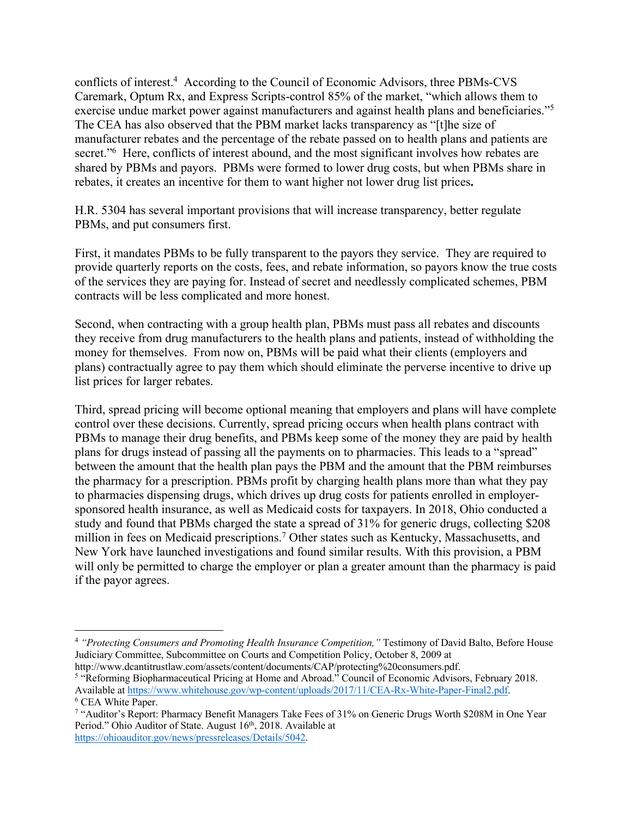conflicts of interest.4According to the Council of Economic Advisors, three PBMs-CVS Caremark, Optum Rx, and Express Scripts-control 85% of the market, "which allows them to exercise undue market power against manufacturers and against health plans and beneficiaries."5 The CEA has also observed that the PBM market lacks transparency as "[t]he size of manufacturer rebates and the percentage of the rebate passed on to health plans and patients are secret."<sup>6</sup> Here, conflicts of interest abound, and the most significant involves how rebates are shared by PBMs and payors. PBMs were formed to lower drug costs, but when PBMs share in rebates, it creates an incentive for them to want higher not lower drug list prices**.** 

H.R. 5304 has several important provisions that will increase transparency, better regulate PBMs, and put consumers first.

First, it mandates PBMs to be fully transparent to the payors they service. They are required to provide quarterly reports on the costs, fees, and rebate information, so payors know the true costs of the services they are paying for. Instead of secret and needlessly complicated schemes, PBM contracts will be less complicated and more honest.

Second, when contracting with a group health plan, PBMs must pass all rebates and discounts they receive from drug manufacturers to the health plans and patients, instead of withholding the money for themselves. From now on, PBMs will be paid what their clients (employers and plans) contractually agree to pay them which should eliminate the perverse incentive to drive up list prices for larger rebates.

Third, spread pricing will become optional meaning that employers and plans will have complete control over these decisions. Currently, spread pricing occurs when health plans contract with PBMs to manage their drug benefits, and PBMs keep some of the money they are paid by health plans for drugs instead of passing all the payments on to pharmacies. This leads to a "spread" between the amount that the health plan pays the PBM and the amount that the PBM reimburses the pharmacy for a prescription. PBMs profit by charging health plans more than what they pay to pharmacies dispensing drugs, which drives up drug costs for patients enrolled in employersponsored health insurance, as well as Medicaid costs for taxpayers. In 2018, Ohio conducted a study and found that PBMs charged the state a spread of 31% for generic drugs, collecting \$208 million in fees on Medicaid prescriptions.<sup>7</sup> Other states such as Kentucky, Massachusetts, and New York have launched investigations and found similar results. With this provision, a PBM will only be permitted to charge the employer or plan a greater amount than the pharmacy is paid if the payor agrees.

<sup>4</sup> *"Protecting Consumers and Promoting Health Insurance Competition,"* Testimony of David Balto, Before House Judiciary Committee, Subcommittee on Courts and Competition Policy, October 8, 2009 at

http://www.dcantitrustlaw.com/assets/content/documents/CAP/protecting%20consumers.pdf. <sup>5</sup> "Reforming Biopharmaceutical Pricing at Home and Abroad." Council of Economic Advisors, February 2018. Available at https://www.whitehouse.gov/wp-content/uploads/2017/11/CEA-Rx-White-Paper-Final2.pdf. 6 CEA White Paper.

<sup>7</sup> "Auditor's Report: Pharmacy Benefit Managers Take Fees of 31% on Generic Drugs Worth \$208M in One Year Period." Ohio Auditor of State. August 16<sup>th</sup>, 2018. Available at https://ohioauditor.gov/news/pressreleases/Details/5042.